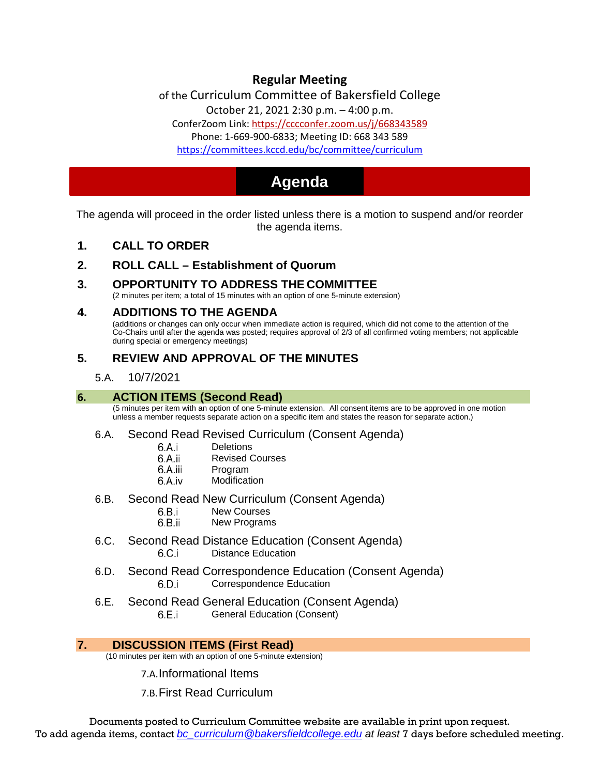# **Regular Meeting**

of the Curriculum Committee of Bakersfield College

October 21, 2021 [2:30 p.m. –](https://cccconfer.zoom.us/j/668343589) 4:00 p.m.

ConferZoom Link: https://cccconfer.zoom.us/j/668343589 [Phone: 1-669-900-6833; Meeting ID: 668 343 589](https://committees.kccd.edu/bc/committee/curriculum)

<https://committees.kccd.edu/bc/committee/curriculum>

# **Agenda**

The agenda will proceed in the order listed unless there is a motion to suspend and/or reorder the agenda items.

**1. CALL TO ORDER** 

# **2. ROLL CALL – Establishment of Quorum**

# **3. OPPORTUNITY TO ADDRESS THE COMMITTEE**

(2 minutes per item; a total of 15 minutes with an option of one 5-minute extension)

#### **4. ADDITIONS TO THE AGENDA**

(additions or changes can only occur when immediate action is required, which did not come to the attention of the Co-Chairs until after the agenda was posted; requires approval of 2/3 of all confirmed voting members; not applicable during special or emergency meetings)

# **5. REVIEW AND APPROVAL OF THE MINUTES**

#### 5.A. 10/7/2021

#### **6. ACTION ITEMS (Second Read)**

(5 minutes per item with an option of one 5-minute extension. All consent items are to be approved in one motion unless a member requests separate action on a specific item and states the reason for separate action.)

#### 6.A. Second Read Revised Curriculum (Consent Agenda)

- 6.A.i **Deletions**
- 6.A.ii Revised Courses
- 6.A.iii Program
- 6.A.iv Modification
- 6.B. Second Read New Curriculum (Consent Agenda)<br>6.B.i New Courses
	- New Courses
	- 6.B.ii New Programs
- 6.C. Second Read Distance Education (Consent Agenda) 6.C.i Distance Education
- 6.D. Second Read Correspondence Education (Consent Agenda) 6.D.i Correspondence Education
- 6.E. Second Read General Education (Consent Agenda) 6.E.i General Education (Consent)

#### **7. DISCUSSION ITEMS (First Read)**

(10 minutes per item with an option of one 5-minute extension)

7.A.Informational Items

7.B.First Read Curriculum

Documents posted to Curriculum Committee website are available in print upon request. To add agenda items, contact *[bc\\_curriculum@bakersfieldcollege.edu](mailto:bc_curriculum@bakersfieldcollege.edu) at least* 7 days before scheduled meeting.